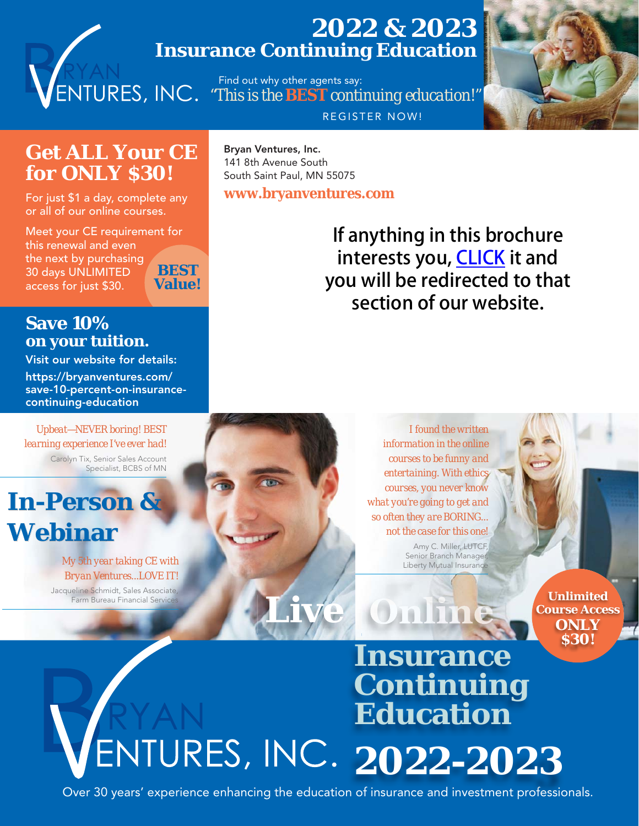## **2022 & 2023 Insurance Continuing Education**

 Find out why other agents say: *"This is the BEST [continuing education!"](https://bryanventures.com/best-insurance-continuing-education/)* REGISTER NOW!



## **[Get ALL Your CE](https://bryanventures.com/product/30-days-unlimited-access-best-value-lowest-price-cheap-insurance-continuing-education-courses/)  for ONLY \$30!**

For just \$1 a day, complete any or all of our online courses.

Meet your CE requirement for this renewal and even the next by purchasing 30 days UNLIMITED access for just \$30. **BEST Value!**

**Bryan Ventures, Inc.** 141 8th Avenue South South Saint Paul, MN 55075

**www.bryanventures.com**

If anything in this brochure interests you, **CLICK** it and you will be redirected to that section of our website.

### **Save 10% [on your tuition.](https://bryanventures.com/save-10-percent-on-insurance-continuing-education/)**

**Visit our website for details: https://bryanventures.com/ save-10-percent-on-insurancecontinuing-education**

*Upbeat—NEVER boring! BEST learning experience I've ever had!* Carolyn Tix, Senior Sales Account Specialist, BCBS of MN



#### *My 5th year taking CE with Bryan Ventures...LOVE IT!*

Jacqueline Schmidt, Sales Associate, Farm Bureau Financial Service

*I found the written information in the online courses to be funny and entertaining. With ethics courses, you never know what you're going to get and so often they are BORING... not the case for this one!* Amy C. Miller, LUTCF, Senior Branch Manager,

Liberty Mutual Insurance

**Unlimited [Course Access](https://bryanventures.com/product/30-days-unlimited-access-best-value-lowest-price-cheap-insurance-continuing-education-courses/)  ONLY \$30!**

# **Insurance Continuing Education**  ENTURES, INC. 2022-2023

 **[Live](https://bryanventures.com/product-category/live-insurance-continuing-education-classes/)**

Over 30 years' experience enhancing the education of insurance and investment professionals.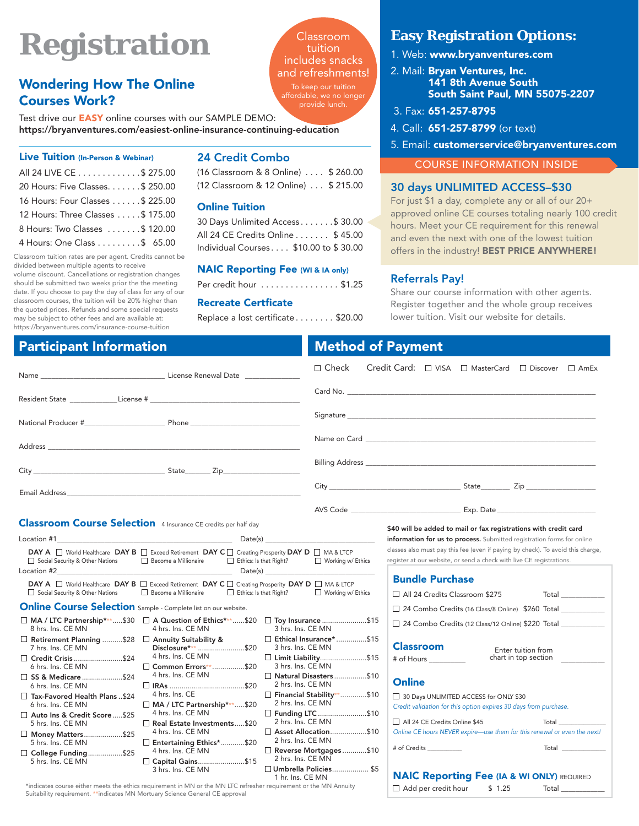# **Registration**

### **Wondering How The Online Courses Work?**

Test drive our **EASY** online courses with our SAMPLE DEMO: **[https://bryanventures.com/easiest-online-insurance-continuing-education](https://bryanventures.com/easiest-online-insurance-continuing-education/)**

#### **Live Tuition (In-Person & Webinar)**

| All 24 LIVE CE \$ 275.00          |
|-----------------------------------|
| 20 Hours: Five Classes. \$ 250.00 |
| 16 Hours: Four Classes \$ 225.00  |
| 12 Hours: Three Classes \$ 175.00 |
| 8 Hours: Two Classes \$ 120.00    |
| 4 Hours: One Class \$ 65.00       |

Classroom tuition rates are per agent. Credits cannot be divided between multiple agents to receive

volume discount. Cancellations or registration changes should be submitted two weeks prior the the meeting date. If you choose to pay the day of class for any of our classroom courses, the tuition will be 20% higher than the quoted prices. Refunds and some special requests may be subject to other fees and are available at: https://bryanventures.com/insurance-course-tuition

#### **24 Credit Combo**

(16 Classroom & 8 Online) . . . . \$ 260.00 (12 Classroom & 12 Online) . . . \$ 215.00

Classroom tuition includes snacks and refreshments!

affordable, we no longer

#### **Online Tuition**

| 30 Days Unlimited Access \$ 30.00     |  |
|---------------------------------------|--|
| All 24 CE Credits Online \$ 45.00     |  |
| Individual Courses \$10.00 to \$30.00 |  |

#### **[NAIC Reporting Fee \(WI & IA only\)](https://bryanventures.com/product-category/insurance-continuing-education-sbs-naic-reporting-fee/)**

Per credit hour . . . . . . . . . . . . . . . \$1.25

#### **Recreate Certficate**

Replace a lost certificate . . . . . . . \$20.00

#### **Easy Registration Options:**

- 1. Web: **www.bryanventures.com**
- 2. Mail: **Bryan Ventures, Inc. 141 8th Avenue South South Saint Paul, MN 55075-2207**
- 3. Fax: **651-257-8795**
- 4. Call: **651-257-8799** (or text)
- 5. Email: **customerservice@bryanventures.com**

COURSE INFORMATION INSIDE

#### **30 days UNLIMITED ACCESS–\$30**

For just \$1 a day, complete any or all of our 20+ [approved online CE courses totaling nearly 100 credit](https://bryanventures.com/product/30-days-unlimited-access-best-value-lowest-price-cheap-insurance-continuing-education-courses/)  hours. Meet your CE requirement for this renewal and even the next with one of the lowest tuition offers in the industry! **BEST PRICE ANYWHERE!**

#### **Referrals Pay!**

Share our course information with other agents. [Register together and the whole group receives](https://bryanventures.com/referrals-pay-reduced-tuition.pdf)  lower tuition. Visit our website for details.

#### **Participant Information**

| Name Contract Contract Contract Contract Contract Contract Contract Contract Contract Contract Contract Contract Contract Contract Contract Contract Contract Contract Contract Contract Contract Contract Contract Contract C               | $\Box$ Check<br>Credit Card: □ VISA □ MasterCard □ Discover □ AmEx                                                                                                           |
|----------------------------------------------------------------------------------------------------------------------------------------------------------------------------------------------------------------------------------------------|------------------------------------------------------------------------------------------------------------------------------------------------------------------------------|
|                                                                                                                                                                                                                                              |                                                                                                                                                                              |
|                                                                                                                                                                                                                                              |                                                                                                                                                                              |
|                                                                                                                                                                                                                                              |                                                                                                                                                                              |
|                                                                                                                                                                                                                                              |                                                                                                                                                                              |
| Email Address <b>Executive Service Service Service Service Service Service Service Service Service Service Service Service Service Service Service Service Service Service Service Service Service Service Service Service Servi</b>         | City State Zip                                                                                                                                                               |
|                                                                                                                                                                                                                                              |                                                                                                                                                                              |
| <b>Classroom Course Selection</b> 4 Insurance CE credits per half day                                                                                                                                                                        | \$40 will be added to mail or fax registrations with credit card                                                                                                             |
| Date(s)<br>Location #1                                                                                                                                                                                                                       | information for us to process. Submitted registration forms for online                                                                                                       |
| DAY A World Healthcare DAY B G Exceed Retirement DAY C G Creating Prosperity DAY D G MA & LTCP<br>Social Security & Other Nations<br>Ethics: Is that Right?<br>Become a Millionaire                                                          | classes also must pay this fee (even if paying by check). To avoid this charge,<br>register at our website, or send a check with live CE registrations.<br>Working w/ Ethics |
| Location #2<br>Date(s)                                                                                                                                                                                                                       | <b>Bundle Purchase</b>                                                                                                                                                       |
| <b>DAY A</b> $\Box$ World Healthcare <b>DAY B</b> $\Box$ Exceed Retirement <b>DAY C</b> $\Box$ Creating Prosperity <b>DAY D</b> $\Box$ MA & LTCP<br>$\Box$ Ethics: Is that Right?<br>Social Security & Other Nations<br>Become a Millionaire | Working w/ Ethics<br>□ All 24 Credits Classroom \$275<br>$Total_$                                                                                                            |
| <b>Online Course Selection</b> Sample - Complete list on our website.                                                                                                                                                                        | □ 24 Combo Credits (16 Class/8 Online) \$260 Total                                                                                                                           |
| □ MA / LTC Partnership***\$30 □ A Question of Ethics***\$20 □ Toy Insurance \$15<br>8 hrs. Ins. CE MN<br>4 hrs. Ins. CE MN                                                                                                                   | □ 24 Combo Credits (12 Class/12 Online) \$220 Total _____________________________<br>3 hrs. Ins. CE MN                                                                       |
| □ Retirement Planning \$28 □ Annuity Suitability &<br>7 hrs. Ins. CE MN<br>Disclosure*** \$20<br>4 hrs. Ins. CE MN                                                                                                                           | Ethical Insurance*\$15<br><b>Classroom</b><br>3 hrs. Ins. CE MN<br>Enter tuition from                                                                                        |
| □ Common Errors**\$20<br>6 hrs. Ins. CE MN                                                                                                                                                                                                   | □ Limit Liability\$15<br>chart in top section<br># of Hours __________<br>3 hrs. Ins. CE MN                                                                                  |
| 4 hrs. Ins. CE MN<br>□ SS & Medicare \$24<br>6 hrs. Ins. CE MN                                                                                                                                                                               | Natural Disasters\$10<br><b>Online</b><br>2 hrs. Ins. CE MN                                                                                                                  |
| 4 hrs. Ins. CE<br>Tax-Favored Health Plans\$24<br>MA / LTC Partnership***\$20<br>6 hrs. Ins. CE MN                                                                                                                                           | Financial Stability**\$10<br>30 Days UNLIMITED ACCESS for ONLY \$30<br>2 hrs. Ins. CE MN                                                                                     |
| 4 hrs. Ins. CE MN<br>Auto Ins & Credit Score\$25                                                                                                                                                                                             | Credit validation for this option expires 30 days from purchase.<br>□ Funding LTC \$10                                                                                       |
| 5 hrs. Ins. CE MN<br>Real Estate Investments\$20                                                                                                                                                                                             | 2 hrs. Ins. CE MN<br>All 24 CE Credits Online \$45<br>Total                                                                                                                  |
| 4 hrs. Ins. CE MN<br>Money Matters\$25<br>5 hrs. Ins. CE MN<br>Entertaining Ethics*\$20                                                                                                                                                      | □ Asset Allocation\$10<br>Online CE hours NEVER expire-use them for this renewal or even the next!<br>2 hrs. Ins. CE MN                                                      |
| 4 hrs. Ins. CE MN<br>□ College Funding\$25                                                                                                                                                                                                   | <b>Total</b><br># of Credits ___________<br>$\Box$ Reverse Mortgages\$10                                                                                                     |
| 5 hrs. Ins. CE MN<br>□ Capital Gains\$15                                                                                                                                                                                                     | 2 hrs. Ins. CE MN                                                                                                                                                            |
| 3 hrs. Ins. CE MN<br>1 hr. Ins. CE MN                                                                                                                                                                                                        | □ Umbrella Policies \$5<br><b>NAIC Reporting Fee (IA &amp; WI ONLY) REQUIRED</b>                                                                                             |
| *indicates course either meets the ethics requirement in MN or the MN LTC refresher requirement or the MN Annuity                                                                                                                            | $\Box$ Add per credit hour<br>\$1.25<br>Total                                                                                                                                |

\*indicates course either meets the ethics requirement in MN or the MN LTC refresher requirement or the MN Annuity Suitability requirement. \*\*indicates MN Mortuary Science General CE approval

**Method of Payment**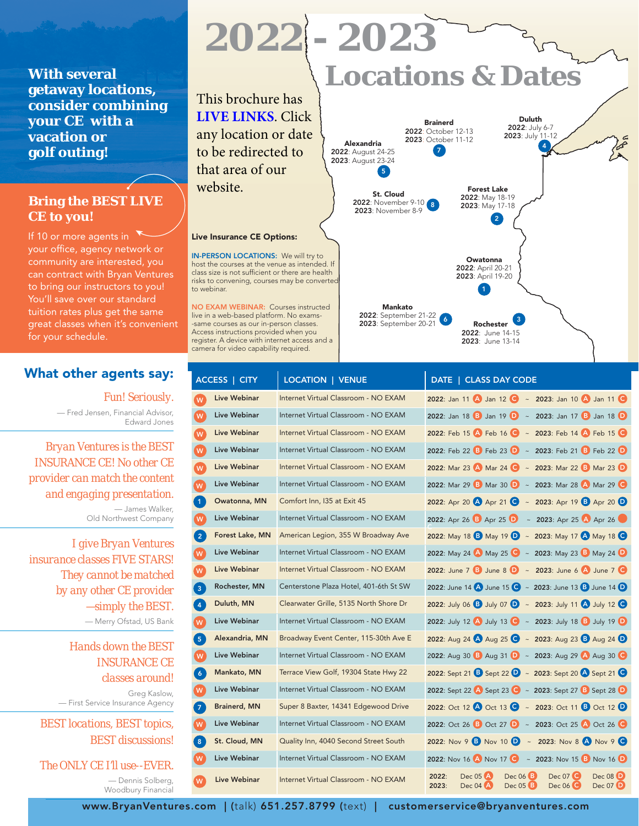**With several getaway locations, [consider combining](https://bryanventures.com/product-category/live-insurance-continuing-education-classes/?filters=access%5Bin-person-classroom%5D)  your CE with a vacation or golf outing!** 

#### **[Bring the BEST LIVE](https://bryanventures.com/insurance-continuing-education-instructors/)  CE to you!**

If 10 or more agents in your office, agency network or community are interested, you can contract with Bryan Ventures to bring our instructors to you! You'll save over our standard tuition rates plus get the same great classes when it's convenient for your schedule.

#### **[What other agents say:](https://bryanventures.com/best-insurance-continuing-education/)**

*Fun! Seriously.* — Fred Jensen, Financial Advisor, Edward Jones

*Bryan Ventures is the BEST INSURANCE CE! No other CE provider can match the content and engaging presentation.*

— James Walker, Old Northwest Company

*I give Bryan Ventures insurance classes FIVE STARS! They cannot be matched by any other CE provider —simply the BEST.* — Merry Ofstad, US Bank

> *Hands down the BEST INSURANCE CE classes around!*

Greg Kaslow, — First Service Insurance Agency

*BEST locations, BEST topics, BEST discussions!*

#### *The ONLY CE I'll use--EVER.*

— Dennis Solberg, Woodbury Financial

# **Locations & Dates 2022 - 2023**

This brochure has **[LIVE LINKS](https://bryanventures.com)**. Click any location or date to be redirected to that area of our website.

#### **Live Insurance CE Options:**

**IN-PERSON LOCATIONS:** We will try to host the courses at the venue as intended. If class size is not sufficient or there are health risks to convening, courses may be converted to webinar.

**NO EXAM WEBINAR:** Courses instructed live in a web-based platform. No exams- -same courses as our in-person classes. Access instructions provided when you [register. A device with internet access and a](https://bryanventures.com/product-category/live-insurance-continuing-education-classes/?filters=access[no-exam-virtual-webinar])  camera for video capability required.



|                                                                                                            | ACCESS   CITY       | <b>LOCATION   VENUE</b>                | DATE   CLASS DAY CODE                                                                                                                                                   |
|------------------------------------------------------------------------------------------------------------|---------------------|----------------------------------------|-------------------------------------------------------------------------------------------------------------------------------------------------------------------------|
| W                                                                                                          | Live Webinar        | Internet Virtual Classroom - NO EXAM   | 2022: Jan 11 $\bigcirc$ Jan 12 $\bigcirc$ ~ 2023: Jan 10 $\bigcirc$ Jan 11 $\bigcirc$                                                                                   |
| W                                                                                                          | Live Webinar        | Internet Virtual Classroom - NO EXAM   | 2022: Jan 18 <b>B</b> Jan 19 <b>D</b> ~ 2023: Jan 17 <b>B</b> Jan 18 <b>D</b>                                                                                           |
| W                                                                                                          | Live Webinar        | Internet Virtual Classroom - NO EXAM   | 2022: Feb 15 $\triangle$ Feb 16 $\triangle$ ~ 2023: Feb 14 $\triangle$ Feb 15 $\triangle$                                                                               |
| $\mathsf{W}% _{T}=\mathsf{W}_{T}\!\left( a,b\right) ,\ \mathsf{W}_{T}=\mathsf{W}_{T}\!\left( a,b\right) ,$ | Live Webinar        | Internet Virtual Classroom - NO EXAM   | 2022: Feb 22 B Feb 23 D ~ 2023: Feb 21 B Feb 22 D                                                                                                                       |
| W                                                                                                          | Live Webinar        | Internet Virtual Classroom - NO EXAM   | 2022: Mar 23 A Mar 24 C ~ 2023: Mar 22 B Mar 23 D                                                                                                                       |
| W                                                                                                          | <b>Live Webinar</b> | Internet Virtual Classroom - NO EXAM   | 2022: Mar 29 B Mar 30 D ~ 2023: Mar 28 A Mar 29 C                                                                                                                       |
| $\mathbf{1}$                                                                                               | Owatonna, MN        | Comfort Inn, I35 at Exit 45            | 2022: Apr 20 A Apr 21 C ~ 2023: Apr 19 B Apr 20 D                                                                                                                       |
| W                                                                                                          | Live Webinar        | Internet Virtual Classroom - NO EXAM   | 2022: Apr 26 B Apr 25 D ~ 2023: Apr 25 A Apr 26                                                                                                                         |
| $\overline{2}$                                                                                             | Forest Lake, MN     | American Legion, 355 W Broadway Ave    | 2022: May 18 <b>B</b> May 19 <b>D</b> ~ 2023: May 17 <b>A</b> May 18 <b>C</b>                                                                                           |
| W                                                                                                          | Live Webinar        | Internet Virtual Classroom - NO EXAM   | 2022: May 24 A May 25 C ~ 2023: May 23 B May 24 D                                                                                                                       |
| W                                                                                                          | Live Webinar        | Internet Virtual Classroom - NO EXAM   | 2022: June 7 <b>B</b> June 8 <b>D</b> ~ 2023: June 6 A June 7 <b>C</b>                                                                                                  |
| 3 <sup>7</sup>                                                                                             | Rochester, MN       | Centerstone Plaza Hotel, 401-6th St SW | 2022: June 14 A June 15 C ~ 2023: June 13 B June 14 D                                                                                                                   |
| $\overline{4}$                                                                                             | Duluth, MN          | Clearwater Grille, 5135 North Shore Dr | 2022: July 06 <b>B</b> July 07 <b>D</b> ~ 2023: July 11 <b>A</b> July 12 <b>C</b>                                                                                       |
| W                                                                                                          | Live Webinar        | Internet Virtual Classroom - NO EXAM   | 2022: July 12 4 July 13 6 ~ 2023: July 18 B July 19 D                                                                                                                   |
| 5 <sup>7</sup>                                                                                             | Alexandria, MN      | Broadway Event Center, 115-30th Ave E  | 2022: Aug 24 A Aug 25 C ~ 2023: Aug 23 B Aug 24 D                                                                                                                       |
| W                                                                                                          | Live Webinar        | Internet Virtual Classroom - NO EXAM   | 2022: Aug 30 B Aug 31 D ~ 2023: Aug 29 A Aug 30 C                                                                                                                       |
| $\overline{6}$                                                                                             | Mankato, MN         | Terrace View Golf, 19304 State Hwy 22  | 2022: Sept 21 <b>B</b> Sept 22 <b>D</b> ~ 2023: Sept 20 <b>A</b> Sept 21 <b>G</b>                                                                                       |
| W                                                                                                          | Live Webinar        | Internet Virtual Classroom - NO EXAM   | 2022: Sept 22 <b>A</b> Sept 23 <b>C</b> ~ 2023: Sept 27 <b>B</b> Sept 28 <b>D</b>                                                                                       |
| $\overline{7}$                                                                                             | <b>Brainerd, MN</b> | Super 8 Baxter, 14341 Edgewood Drive   | 2022: Oct 12 A Oct 13 C ~ 2023: Oct 11 B Oct 12 D                                                                                                                       |
| W                                                                                                          | Live Webinar        | Internet Virtual Classroom - NO EXAM   | 2022: Oct 26 B Oct 27 D ~ 2023: Oct 25 A Oct 26 O                                                                                                                       |
| 8 <sup>1</sup>                                                                                             | St. Cloud, MN       | Quality Inn, 4040 Second Street South  | 2022: Nov 9 <b>B</b> Nov 10 <b>D</b> ~ 2023: Nov 8 A Nov 9 C                                                                                                            |
| W                                                                                                          | Live Webinar        | Internet Virtual Classroom - NO EXAM   | 2022: Nov 16 A Nov 17 $\bullet$ ~ 2023: Nov 15 B Nov 16 D                                                                                                               |
| W                                                                                                          | <b>Live Webinar</b> | Internet Virtual Classroom - NO EXAM   | Dec 08 <b>D</b><br>$Dec 06$ <sup>3</sup><br>Dec 07 $\bullet$<br>2022:<br>Dec 05 A<br>Dec 04 A<br>Dec 05 <sup>8</sup><br>Dec 06 <sup>C</sup><br>Dec 07 <b>D</b><br>2023: |

**www.BryanVentures.com | (**talk) **651.257.8799 (**text) **| customerservice@bryanventures.com**